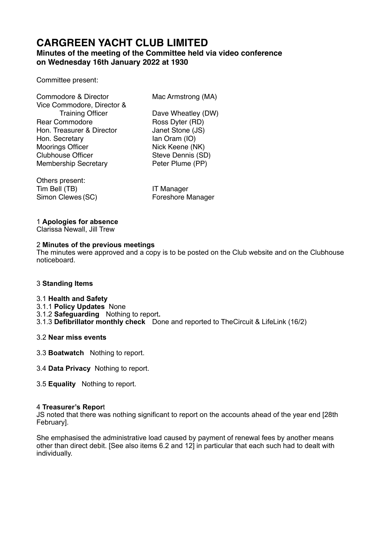# **CARGREEN YACHT CLUB LIMITED**

# **Minutes of the meeting of the Committee held via video conference on Wednesday 16th January 2022 at 1930**

# Committee present:

| Commodore & Director        | Mac Armstrong (MA) |
|-----------------------------|--------------------|
| Vice Commodore, Director &  |                    |
| <b>Training Officer</b>     | Dave Wheatley (DW) |
| <b>Rear Commodore</b>       | Ross Dyter (RD)    |
| Hon. Treasurer & Director   | Janet Stone (JS)   |
| Hon. Secretary              | lan Oram (IO)      |
| <b>Moorings Officer</b>     | Nick Keene (NK)    |
| <b>Clubhouse Officer</b>    | Steve Dennis (SD)  |
| <b>Membership Secretary</b> | Peter Plume (PP)   |
|                             |                    |

Others present: Tim Bell (TB) **IT Manager** Simon Clewes (SC) Foreshore Manager

# 1 **Apologies for absence**

Clarissa Newall, Jill Trew

# 2 **Minutes of the previous meetings**

The minutes were approved and a copy is to be posted on the Club website and on the Clubhouse noticeboard.

# 3 **Standing Items**

## 3.1 **Health and Safety**

3.1.1 **Policy Updates** None

3.1.2 **Safeguarding** Nothing to report**.** 

- 3.1.3 **Defibrillator monthly check** Done and reported to TheCircuit & LifeLink (16/2)
- 3.2 **Near miss events**
- 3.3 **Boatwatch** Nothing to report.
- 3.4 **Data Privacy** Nothing to report.
- 3.5 **Equality** Nothing to report.

# 4 **Treasurer's Repor**t

JS noted that there was nothing significant to report on the accounts ahead of the year end [28th February].

She emphasised the administrative load caused by payment of renewal fees by another means other than direct debit. [See also items 6.2 and 12] in particular that each such had to dealt with individually.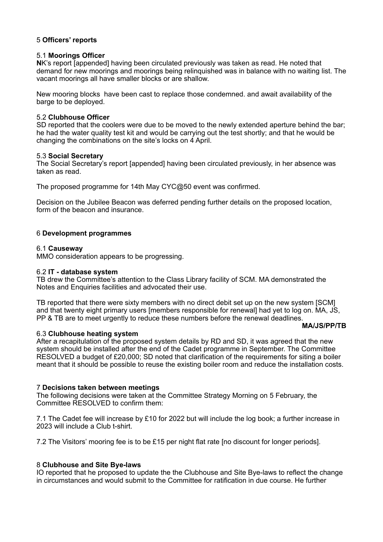# 5 **Officers' reports**

## 5.1 **Moorings Officer**

**N**K's report [appended] having been circulated previously was taken as read. He noted that demand for new moorings and moorings being relinquished was in balance with no waiting list. The vacant moorings all have smaller blocks or are shallow.

New mooring blocks have been cast to replace those condemned. and await availability of the barge to be deployed.

#### 5.2 **Clubhouse Officer**

SD reported that the coolers were due to be moved to the newly extended aperture behind the bar; he had the water quality test kit and would be carrying out the test shortly; and that he would be changing the combinations on the site's locks on 4 April.

#### 5.3 **Social Secretary**

The Social Secretary's report [appended] having been circulated previously, in her absence was taken as read.

The proposed programme for 14th May CYC@50 event was confirmed.

Decision on the Jubilee Beacon was deferred pending further details on the proposed location, form of the beacon and insurance.

## 6 **Development programmes**

#### 6.1 **Causeway**

MMO consideration appears to be progressing.

#### 6.2 **IT - database system**

TB drew the Committee's attention to the Class Library facility of SCM. MA demonstrated the Notes and Enquiries facilities and advocated their use.

TB reported that there were sixty members with no direct debit set up on the new system [SCM] and that twenty eight primary users [members responsible for renewal] had yet to log on. MA, JS, PP & TB are to meet urgently to reduce these numbers before the renewal deadlines.

## 6.3 **Clubhouse heating system**

After a recapitulation of the proposed system details by RD and SD, it was agreed that the new system should be installed after the end of the Cadet programme in September. The Committee RESOLVED a budget of £20,000; SD noted that clarification of the requirements for siting a boiler

meant that it should be possible to reuse the existing boiler room and reduce the installation costs.

**MA/JS/PP/TB** 

## 7 **Decisions taken between meetings**

The following decisions were taken at the Committee Strategy Morning on 5 February, the Committee RESOLVED to confirm them:

7.1 The Cadet fee will increase by £10 for 2022 but will include the log book; a further increase in 2023 will include a Club t-shirt.

7.2 The Visitors' mooring fee is to be £15 per night flat rate [no discount for longer periods].

## 8 **Clubhouse and Site Bye-laws**

IO reported that he proposed to update the the Clubhouse and Site Bye-laws to reflect the change in circumstances and would submit to the Committee for ratification in due course. He further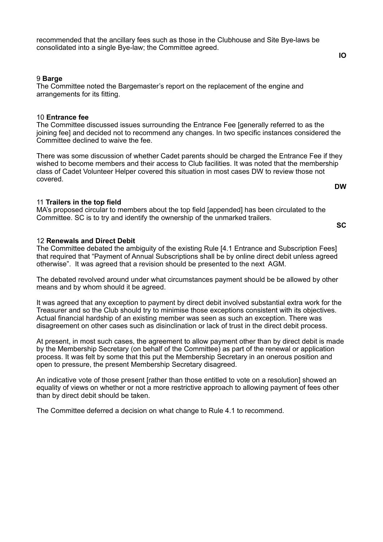recommended that the ancillary fees such as those in the Clubhouse and Site Bye-laws be consolidated into a single Bye-law; the Committee agreed.

#### 9 **Barge**

The Committee noted the Bargemaster's report on the replacement of the engine and arrangements for its fitting.

#### 10 **Entrance fee**

The Committee discussed issues surrounding the Entrance Fee [generally referred to as the joining fee] and decided not to recommend any changes. In two specific instances considered the Committee declined to waive the fee.

There was some discussion of whether Cadet parents should be charged the Entrance Fee if they wished to become members and their access to Club facilities. It was noted that the membership class of Cadet Volunteer Helper covered this situation in most cases DW to review those not covered. **DW** 

## 11 **Trailers in the top field**

MA's proposed circular to members about the top field [appended] has been circulated to the Committee. SC is to try and identify the ownership of the unmarked trailers.

**SC** 

#### 12 **Renewals and Direct Debit**

The Committee debated the ambiguity of the existing Rule [4.1 Entrance and Subscription Fees] that required that "Payment of Annual Subscriptions shall be by online direct debit unless agreed otherwise". It was agreed that a revision should be presented to the next AGM.

The debated revolved around under what circumstances payment should be be allowed by other means and by whom should it be agreed.

It was agreed that any exception to payment by direct debit involved substantial extra work for the Treasurer and so the Club should try to minimise those exceptions consistent with its objectives. Actual financial hardship of an existing member was seen as such an exception. There was disagreement on other cases such as disinclination or lack of trust in the direct debit process.

At present, in most such cases, the agreement to allow payment other than by direct debit is made by the Membership Secretary (on behalf of the Committee) as part of the renewal or application process. It was felt by some that this put the Membership Secretary in an onerous position and open to pressure, the present Membership Secretary disagreed.

An indicative vote of those present [rather than those entitled to vote on a resolution] showed an equality of views on whether or not a more restrictive approach to allowing payment of fees other than by direct debit should be taken.

The Committee deferred a decision on what change to Rule 4.1 to recommend.

**IO**